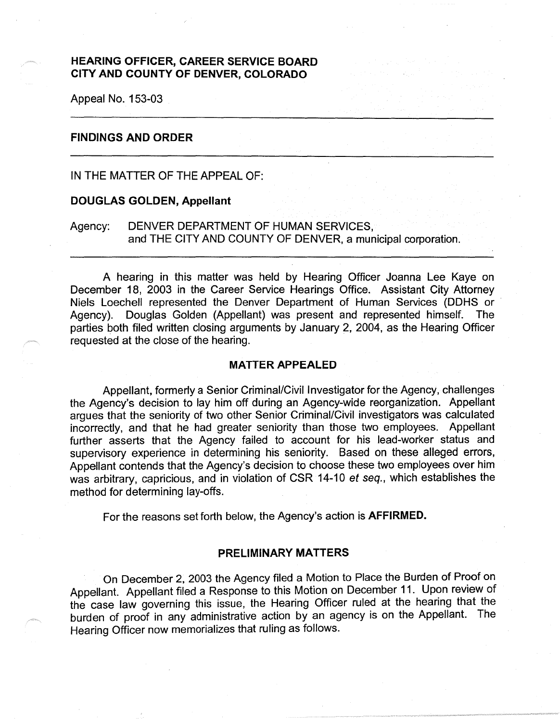# **HEARING OFFICER, CAREER SERVICE BOARD CITY AND COUNTY OF DENVER, COLORADO**

Appeal No. 153-03

## **FINDINGS AND ORDER**

IN THE MATTER OF THE APPEAL OF:

## **DOUGLAS GOLDEN, Appellant**

Agency: DENVER DEPARTMENT OF HUMAN SERVICES, and THE CITY AND COUNTY OF DENVER, a municipal corporation.

A hearing in this matter was held by Hearing Officer Joanna Lee Kaye on December 18, 2003 in the Career Service Hearings Office. Assistant City Attorney Niels Loechell represented the Denver Department of Human Services (DDHS or · Agency). Douglas Golden (Appellant) was present and represented himself. The parties both filed written closing arguments by January 2, 2004, as the Hearing Officer requested at the close of the hearing.

#### **MATTER APPEALED**

Appellant, formerly a Senior Criminal/Civil Investigator for the Agency, challenges the Agency's decision to lay him off during an Agency-wide reorganization. Appellant argues that the seniority of two other Senior Criminal/Civil investigators was calculated incorrectly, and that he had greater seniority than those two employees. Appellant further asserts that the Agency failed to account for his lead-worker status and supervisory experience in determining his seniority. Based on these alleged errors, Appellant contends that the Agency's decision to choose these two employees over him was arbitrary, capricious, and in violation of CSR 14-10 et seq., which establishes the method for determining lay-offs.

For the reasons set forth below, the Agency's action is **AFFIRMED.** 

### **PRELIMINARY MATTERS**

On December 2, 2003 the Agency filed a Motion to Place the Burden of Proof on Appellant. Appellant filed a Response to this Motion on December 11. Upon review of the case law governing this issue, the Hearing Officer ruled at the hearing that the burden of proof in any administrative action by an agency is on the Appellant. The Hearing Officer now memorializes that ruling as follows.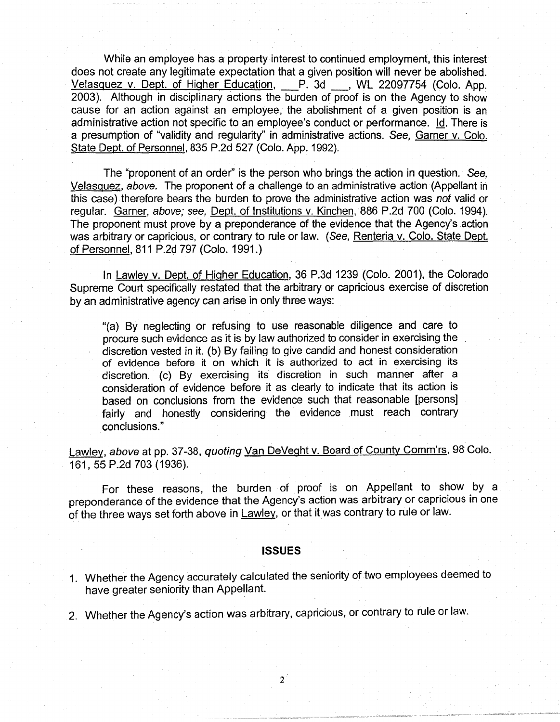While an employee has a property interest to continued employment, this interest does not create any legitimate expectation that a given position will never be abolished. Velasquez v. Dept. of Higher Education, P. 3d , WL 22097754 (Colo. App. 2003). Although in disciplinary actions the burden of proof is on the Agency to show cause for an action against an employee, the abolishment of a given position is an administrative action not specific to an employee's conduct or performance. Id. There is . a presumption of "validity and regularity" in administrative actions. See, Garner v. Colo. State Dept. of Personnel, 835 P.2d 527 (Colo. App. 1992).

The "proponent of an order" is the person who brings the action in question. See, Velasquez, above. The proponent of a challenge to an administrative action (Appellant in this case) therefore bears the burden to prove the administrative action was not valid or regular. Garner, above; see, Dept. of Institutions v. Kinchen, 886 P.2d 700 (Colo. 1994). The proponent must prove by a preponderance of the evidence that the Agency's action was arbitrary or capricious, or contrary to rule or law. (See, Renteria v. Colo. State Dept. of Personnel, 811 P.2d 797 (Colo. 1991.)

In Lawley v. Dept. of Higher Education, 36 P.3d 1239 (Colo. 2001), the Colorado Supreme Court specifically restated that the arbitrary or capricious exercise of discretion by an administrative agency can arise in only three ways:

"(a) By neglecting or refusing to use reasonable diligence and care to procure such evidence as it is by law authorized to consider in exercising the discretion vested in it. (b) By failing to give candid and honest consideration of evidence before it on which it is authorized to act in exercising its discretion. (c) By exercising its discretion in such manner after a consideration of evidence before it as clearly to indicate that its action is based on conclusions from the evidence such that reasonable [persons] fairly and honestly considering the evidence must reach contrary conclusions."

Lawley, above at pp. 37-38, quoting Van DeVeght v. Board of County Comm'rs, 98 Colo. 161, 55 P.2d 703 (1936).

For these reasons, the burden of proof is on Appellant to show by a preponderance of the evidence that the Agency's action was arbitrary or capricious in one of the three ways set forth above in Lawley, or that it was contrary to rule or law.

### **ISSUES**

- 1. Whether the Agency accurately calculated the seniority of two employees deemed to have greater seniority than Appellant.
- 2. Whether the Agency's action was arbitrary, capricious, or contrary to rule or law.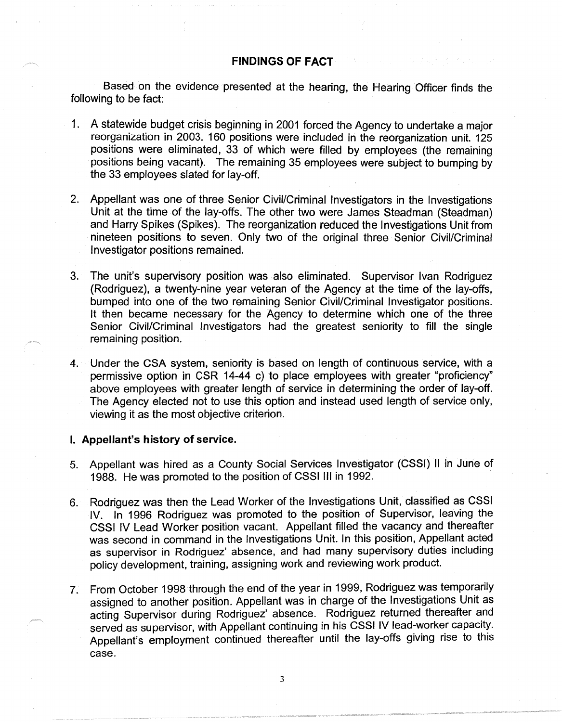## **FINDINGS OF FACT**

Based on the evidence presented at the hearing, the Hearing Officer finds the following to be fact:

- 1. A statewide budget crisis beginning in 2001 forced the Agency to undertake a major reorganization in 2003. 160 positions were included in the reorganization unit. 125 positions were eliminated, 33 of which were filled by employees (the remaining positions being vacant). The remaining 35 employees were subject to bumping by the 33 employees slated for lay-off.
- 2. Appellant was one of three Senior Civil/Criminal Investigators in the Investigations Unit at the time of the lay-offs. The other two were James Steadman (Steadman) and Harry Spikes (Spikes). The reorganization reduced the Investigations Unit from nineteen positions to seven. Only two of the original three Senior Civil/Criminal Investigator positions remained.
- 3. The unit's supervisory position was also eliminated. Supervisor Ivan Rodriguez (Rodriguez), a twenty-nine year veteran of the Agency at the time of the lay-offs, bumped into one of the two remaining Senior Civil/Criminal Investigator positions. It then became necessary for the Agency to determine which one of the three Senior Civil/Criminal Investigators had the greatest seniority to fill the single remaining position.
- 4. Under the CSA system, seniority is based on length of continuous service, with a permissive option in CSR 14-44 c) to place employees with greater "proficiency" above employees with greater length of service in determining the order of lay-off. The Agency elected not to use this option and instead used length of service only, viewing it as the most objective criterion.

# I. **Appellant's history of service.**

- 5. Appellant was hired as a County Social Services Investigator (CSSI) II in June of 1988. He was promoted to the position of CSSI Ill in 1992.
- 6. Rodriguez was then the Lead Worker of the Investigations Unit, classified as CSSI IV. In 1996 Rodriguez was promoted to the position of Supervisor, leaving the CSSI IV Lead Worker position vacant. Appellant filled the vacancy and thereafter was second in command in the Investigations Unit. In this position, Appellant acted as supervisor in Rodriguez' absence, and had many supervisory duties including policy development, training, assigning work and reviewing work product.
- 7. From October 1998 through the end of the year in 1999, Rodriguez was temporarily assigned to another position. Appellant was in charge of the Investigations Unit as acting Supervisor during Rodriguez' absence. Rodriguez returned thereafter and served as supervisor, with Appellant continuing in his CSSI IV lead-worker capacity. Appellant's employment continued thereafter until the lay-offs giving rise to this case.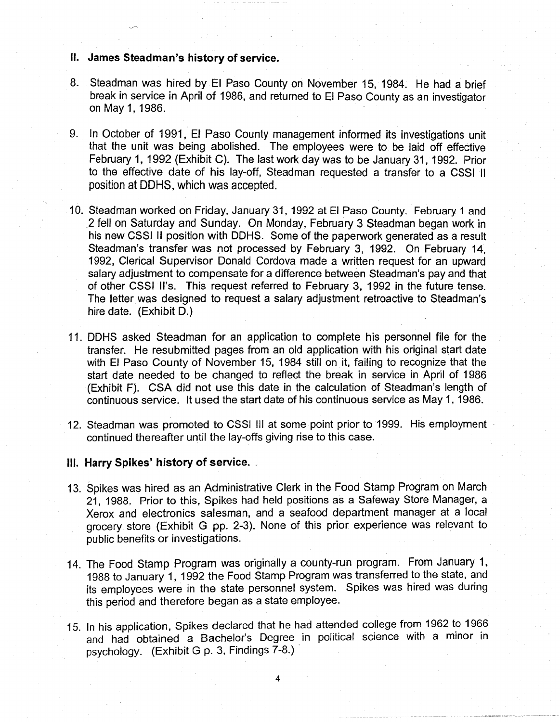- II. **James Steadman's history of service.**
- 8. Steadman was hired by El Paso County on November 15, 1984. He had a brief break in service in April of 1986, and returned to El Paso County as an investigator on May 1, 1986.
- 9. In October of 1991, El Paso County management informed its investigations unit that the unit was being abolished. The employees were to be laid off effective February 1, 1992 (Exhibit C). The last work day was to be January 31, 1992. Prior to the effective date of his lay-off, Steadman requested a transfer to a CSSI II position at OOHS, which was accepted.
- 10. Steadman worked on Friday, January 31, 1992 at El Paso County. February 1 and .2 fell on Saturday and Sunday. On Monday, February 3 Steadman began work in his new CSSI II position with DDHS. Some of the paperwork generated as a result Steadman's transfer was not processed by February 3, 1992. On February 14, 1992, Clerical Supervisor Donald Cordova made a written request for an upward salary adjustment to compensate for a difference between Steadman's pay and that of other CSSI ll's. This request referred to February 3, 1992 in the future tense. The letter was designed to request a salary adjustment retroactive to Steadman's hire date. (Exhibit D.)
- 11. OOHS asked Steadman for an application to complete his personnel file for the transfer. He resubmitted pages from an old application with his original start date with El Paso County of November 15, 1984 still on it, failing to recognize that the start date needed to be changed to reflect the break in service in April of 1986 (Exhibit F). CSA did not use this date in the calculation of Steadman's length of continuous service. It used the start date of his continuous service as May 1, 1986.
- 12. Steadman was promoted to CSSI Ill at some point prior to 1999. His employment continued thereafter until the lay-offs giving rise to this case.

# Ill. **Harry Spikes' history of service .** .

- 13. Spikes was hired as an Administrative Clerk in the Food Stamp Program on March 21, 1988. Prior to this, Spikes had held positions as a Safeway Store Manager, a Xerox and electronics salesman, and a seafood department manager at a local grocery store (Exhibit G pp. 2-3). None of this prior experience was relevant to public benefits or investigations.
- 14. The Food Stamp Program was originally a county-run program. From January 1, 1988 to January 1, 1992 the Food Stamp Program was transferred to the state, and its employees were in the state personnel system. Spikes was hired was during this period and therefore began as a state employee.
- 15. In his application, Spikes declared that he had attended college from 1962 to 1966 and had obtained a Bachelor's Degree in political science with a minor in psychology. (Exhibit G p. 3, Findings 7-8.)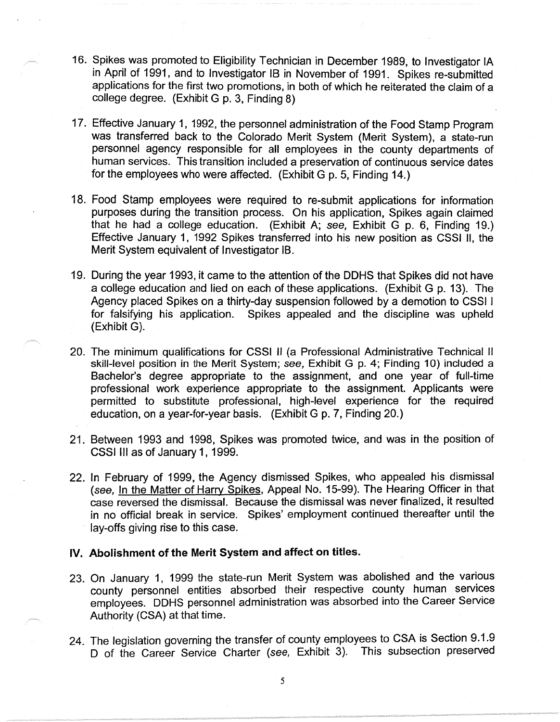- 16. Spikes was promoted to Eligibility Technician in December 1989, to Investigator IA in April of 1991, and to Investigator IB in November of 1991. Spikes re-submitted applications for the first two promotions, in both of which he reiterated the claim of a college degree. (Exhibit G p. 3, Finding 8)
- 17. Effective January 1, 1992, the personnel administration of the Food Stamp Program was transferred back to the Colorado Merit System (Merit System), a state-run personnel agency responsible for all employees in the county departments of human services. This transition included a preservation of continuous service dates for the employees who were affected. (Exhibit G p. 5, Finding 14.)
- 18. Food Stamp employees were required to re-submit applications for information purposes during the transition process. On his application, Spikes again claimed that he had a college education. (Exhibit A; see, Exhibit G p. 6, Finding 19.) Effective January 1, 1992 Spikes transferred into his new position as CSSI 11, the Merit System equivalent of Investigator 1B.
- 19. During the year 1993, it came to the attention of the OOHS that Spikes did not have a college education and lied on each of these applications. (Exhibit G p. 13). The Agency placed Spikes on a thirty-day suspension followed by a demotion to CSSI I for falsifying his application. Spikes appealed and the discipline was upheld (Exhibit G).
- 20. The minimum qualifications for CSSI II (a Professional Administrative Technical II skill-level position in the Merit System; see, Exhibit G p. 4; Finding 10) included a Bachelor's degree appropriate to the assignment, and one year of full-time professional work experience appropriate to the assignment. Applicants were permitted to substitute professional, high-level experience for the required education, on a year-for-year basis. (Exhibit G p. 7, Finding 20.)
- 21. Between 1993 and 1998, Spikes was promoted twice, and was in the position of CSSI Ill as of January 1, 1999.
- 22. In February of 1999, the Agency dismissed Spikes, who appealed his dismissal (see, In the Matter of Harry Spikes, Appeal No. 15-99). The Hearing Officer in that case reversed the dismissal. Because the dismissal was never finalized, it resulted in no official break in service. Spikes' employment continued thereafter until the lay-offs giving rise to this case.

## **IV. Abolishment of the Merit System and affect on titles.**

- 23. On January 1, 1999 the state-run Merit System was abolished and the various county personnel entities absorbed their respective county human services employees. OOHS personnel administration was absorbed into the Career Service Authority (CSA) at that time.
- 24. The legislation governing the transfer of county employees to CSA is Section 9.1.9 D of the Career Service Charter (see, Exhibit 3). This subsection preserved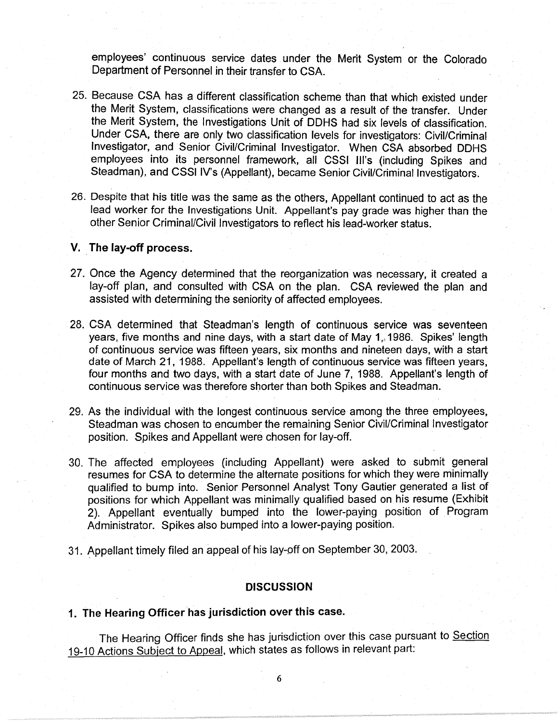employees' continuous service dates under the Merit System or the Colorado Department of Personnel in their transfer to CSA.

- 25. Because CSA has a different classification scheme than that which existed under the Merit System, classifications were changed as a result of the transfer. Under the Merit System, the Investigations Unit of OOHS had six levels of classification. Under CSA, there are only two classification levels for investigators: Civil/Criminal Investigator, and Senior Civil/Criminal Investigator. When CSA absorbed OOHS employees into its personnel framework, all CSSI Ill's (including Spikes and Steadman), and CSSI IV's (Appellant), became Senior Civil/Criminal Investigators.
- 26. Despite that his title was the same as the others, Appellant continued to act as the lead worker for the Investigations Unit. Appellant's pay grade was higher than the other Senior Criminal/Civil Investigators to reflect his lead-worker status.

# **V.** The lay-off process.

- 27. Once the Agency determined that the reorganization was necessary, it created a lay-off plan, and consulted with CSA on the plan. CSA reviewed the plan and assisted with determining the seniority of affected employees.
- 28. CSA determined that Steadman's length of continuous service was seventeen years, five months and nine days, with a start date of May 1,, 1986. Spikes' length of continuous service was fifteen years, six months and nineteen days, with a start date of March 21, 1988. Appellant's length of continuous service was fifteen years, four months and two days, with a start date of June 7, 1988. Appellant's length of continuous service was therefore shorter than both Spikes and Steadman.
- 29. As the individual with the longest continuous service among the three employees, Steadman was chosen to encumber the remaining Senior Civil/Criminal Investigator position. Spikes and Appellant were chosen for lay-off.
- 30. The affected employees (including Appellant) were asked to submit general resumes for CSA to determine the alternate positions for which they were minimally qualified to bump into. Senior Personnel Analyst Tony Gautier generated a list of positions for which Appellant was minimally qualified based on his resume (Exhibit 2). Appellant eventually bumped into the lower-paying position of Program Administrator. Spikes also bumped into a lower-paying position.
- 31. Appellant timely filed an appeal of his lay-off on September 30, 2003.

### **DISCUSSION**

# **1. The Hearing Officer has jurisdiction over this case.**

The Hearing Officer finds she has jurisdiction over this case pursuant to Section 19-10 Actions Subject to Appeal, which states as follows in relevant part: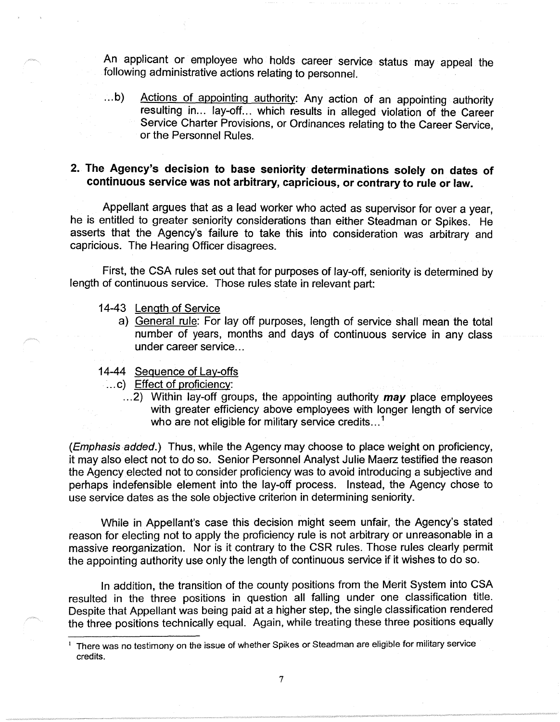An applicant or employee who holds career service status may appeal the following administrative actions relating to personnel.

...b) Actions of appointing authority: Any action of an appointing authority resulting in... lay-off... which results in alleged violation of the Career Service Charter Provisions, or Ordinances relating to the Career Service, or the Personnel Rules.

# **2. The Agency's decision to base seniority determinations solely on dates of continuous service was not arbitrary, capricious, or contrary to rule or law.**

Appellant argues that as a lead worker who acted as supervisor for over a year, he is entitled to greater seniority considerations than either Steadman or Spikes. He asserts that the Agency's failure to take this into consideration was arbitrary and capricious. The Hearing Officer disagrees.

First, the CSA rules set out that for purposes of lay-off, seniority is determined by length of continuous service. Those rules state in relevant part:

- 14-43 Length of Service
	- a) General rule: For lay off purposes, length of service shall mean the total number of years, months and days of continuous service in any class under career service...
- 14-44 Sequence of Lay-offs
	- ... c) Effect of proficiency:
		- ... 2) Within lay-off groups, the appointing authority **may** place employees with greater efficiency above employees with longer length of service who are not eligible for military service credits...<sup>1</sup>

(Emphasis added.) Thus, while the Agency may choose to place weight on proficiency, it may also elect not to do so. Senior Personnel Analyst Julie Maerz testified the reason the Agency elected not to consider proficiency was to avoid introducing a subjective and perhaps indefensible element into the lay-off process. Instead, the Agency chose to use service dates as the sole objective criterion in determining seniority.

While in Appellant's case this decision might seem unfair, the Agency's stated reason for electing not to apply the proficiency rule is not arbitrary or unreasonable in a massive reorganization. Nor is it contrary to the CSR rules. Those rules clearly permit the appointing authority use only the length of continuous service if it wishes to do so.

In addition, the transition of the county positions from the Merit System into CSA resulted in the three positions in question all falling under one classification title. Despite that Appellant was being paid at a higher step, the single classification rendered the three positions technically equal. Again, while treating these three positions equally

<sup>&</sup>lt;sup>1</sup> There was no testimony on the issue of whether Spikes or Steadman are eligible for military service credits.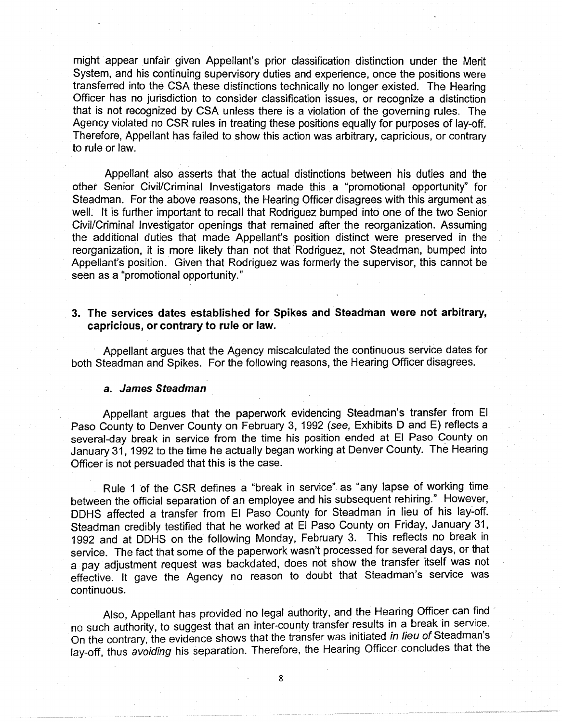might appear unfair given Appellant's prior classification distinction under the Merit System, and his continuing supervisory duties and experience, once the positions were transferred into the CSA these distinctions technically no longer existed. The Hearing Officer has no jurisdiction to consider classification issues, or recognize a distinction that is not recognized by CSA unless there is a violation of the governing rules. The Agency violated no CSR rules in treating these positions equally for purposes of lay-off. Therefore, Appellant has failed to show this action was arbitrary, capricious, or contrary to rule or law.

Appellant also asserts that the actual distinctions between his duties and the other Senior Civil/Criminal Investigators made this a "promotional opportunity" for Steadman. For the above reasons, the Hearing Officer disagrees with this argument as well. It is further important to recall that Rodriguez bumped into one of the two Senior Civil/Criminal Investigator openings that remained after the reorganization. Assuming the additional duties that made Appellant's position distinct were preserved in the reorganization, it is more likely than not that Rodriguez, not Steadman, bumped into Appellant's position. Given that Rodriguez was formerly the supervisor, this cannot be seen as a "promotional opportunity."

# **3. The services dates established for Spikes and Steadman were not arbitrary, capricious, or contrary to rule or law.**

Appellant argues that the Agency miscalculated the continuous service dates for both Steadman and Spikes. For the following reasons, the Hearing Officer disagrees.

#### **a. James Steadman**

Appellant argues that the paperwork evidencing Steadman's transfer from El Paso County to Denver County on February 3, 1992 (see, Exhibits D and E) reflects a several-day break in service from the time his position ended at El Paso County on January 31, 1992 to the time he actually began working at Denver County. The Hearing Officer is not persuaded that this is the case.

Rule 1 of the CSR defines a "break in service" as "any lapse of working time between the official separation of an employee and his subsequent rehiring." However, OOHS affected a transfer from El Paso County for Steadman in lieu of his lay~off. Steadman credibly testified that he worked at El Paso County on Friday, January 31, 1992 and at OOHS on the following Monday, February 3. This reflects no break in service. The fact that some of the paperwork wasn't processed for several days, or that a pay adjustment request was backdated, does not show the transfer itself was not effective. It gave the Agency no reason to doubt that Steadman's service was continuous.

Also, Appellant has provided no legal authority, and the Hearing Officer can find no such authority, to suggest that an inter-county transfer results in a break in service. On the contrary, the evidence shows that the transfer was initiated in lieu of Steadman's lay-off, thus avoiding his separation. Therefore, the Hearing Officer concludes that the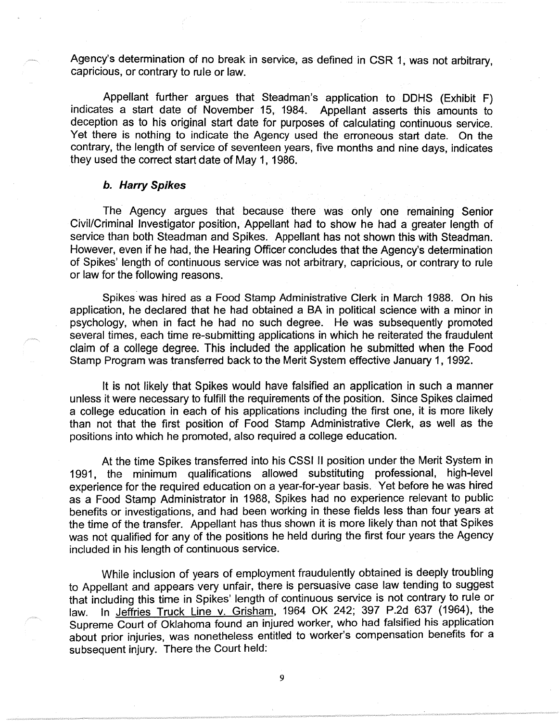Agency's determination of no break in service, as defined in CSR 1, was not arbitrary, capricious, or contrary to rule or law.

Appellant further argues that Steadman's application to OOHS (Exhibit F) indicates a start date of November 15, 1984. Appellant asserts this amounts to deception as to his original start date for purposes of calculating continuous service. Yet there is nothing to indicate the Agency used the erroneous start date. On the contrary, the length of service of seventeen years, five months and nine days, indicates they used the correct start date of May 1, 1986.

#### **b. Harry Spikes**

The Agency argues that because there was only one remaining Senior Civil/Criminal Investigator position, Appellant had to show he had a greater length of service than both Steadman and Spikes. Appellant has not shown this with Steadman. However, even if he had, the Hearing Officer concludes that the Agency's determination of Spikes' length of continuous service was not arbitrary, capricious, or contrary to rule or law for the following reasons.

Spikes was hired as a Food Stamp Administrative Clerk in March 1988. On his application, he declared that he had obtained a BA in political science with a minor in psychology, when in fact he had no such degree. He was subsequently promoted several times, each time re-submitting applications in which he reiterated the fraudulent claim of a college degree. This included the application he submitted when the Food Stamp Program was transferred back to the Merit System effective January 1, 1992.

It is not likely that Spikes would have falsified an application in such a manner unless it were necessary to fulfill the requirements of the position. Since Spikes claimed a college education in each of his applications including the first one, it is more likely than not that the first position of Food Stamp Administrative Clerk, as well as the positions into which he promoted, also required a college education.

At the time Spikes transferred into his CSSI II position under the Merit System in 1991, the minimum qualifications allowed substituting professional, high-level experience for the required education on a year-for-year basis. Yet before he was hired as a Food Stamp Administrator in 1988, Spikes had no experience relevant to public benefits or investigations, and had been working in these fields less than four years at the time of the transfer. Appellant has thus shown it is more likely than not that Spikes was not qualified for any of the positions he held during the first four years the Agency included in his length of continuous service.

While inclusion of years of employment fraudulently obtained is deeply troubling to Appellant and appears very unfair, there is persuasive case law tending to suggest that including this time in Spikes' length of continuous service is not contrary to rule or law. In Jeffries Truck Line v. Grisham, 1964 OK 242; 397 P.2d 637 (1964), the Supreme Court of Oklahoma found an injured worker, who had falsified his application about prior injuries, was nonetheless entitled to worker's compensation benefits for a subsequent injury. There the Court held: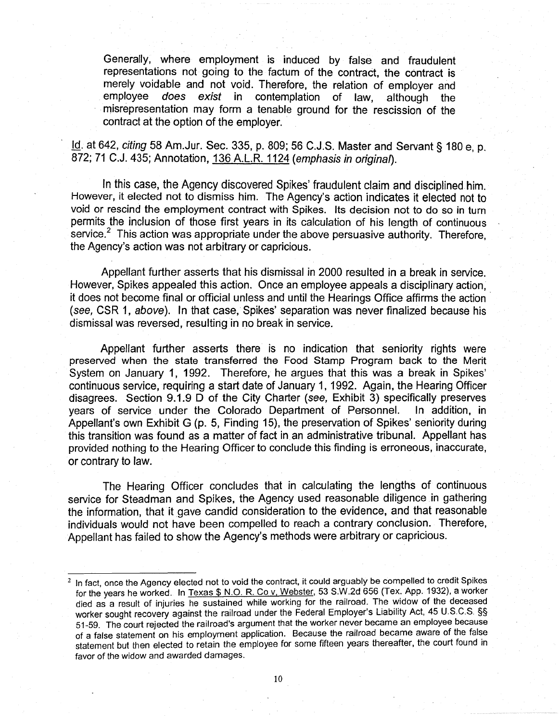Generally, where employment is induced by false and fraudulent representations not going to the factum of the contract, the contract is merely voidable and not void. Therefore, the relation of employer and employee does exist in contemplation of law, although the misrepresentation may form a tenable ground for the rescission of the contract at the option of the employer.

Id. at 642, citing 58 Am.Jur. Sec. 335, p. 809; 56 C.J.S. Master and Servant§ 180 e, p. 872; 71 C.J. 435; Annotation, 136 A.L.R. 1124 (emphasis in original).

In this case, the Agency discovered Spikes' fraudulent claim and disciplined him. However, it elected not to dismiss him. The Agency's action indicates it elected not to void or rescind the employment contract with Spikes. Its decision not to do so in turn permits the inclusion of those first years in its calculation of his length of continuous  $\sigma$  service.<sup>2</sup> This action was appropriate under the above persuasive authority. Therefore, the Agency's action was not arbitrary or capricious.

Appellant further asserts that his dismissal in 2000 resulted in a break in service. However, Spikes appealed this action. Once an employee appeals a disciplinary action, it does not become final or official unless and until the Hearings Office affirms the action · (see, CSR 1, above). In that case, Spikes' separation was never finalized because his dismissal was reversed, resulting in no break in service.

Appellant further asserts there is no indication that seniority rights were preserved when the state transferred the Food Stamp Program back to the Merit System on January 1, 1992. Therefore, he argues that this was a break in Spikes' continuous service, requiring a start date of January 1, 1992. Again, the Hearing Officer disagrees. Section 9.1.9 D of the City Charter (see, Exhibit 3) specifically preserves years of service under the Colorado Department of Personnel. In addition, in Appellant's own Exhibit G (p. 5, Finding 15), the preservation of Spikes' seniority during this transition was found as a matter of fact in an administrative tribunal. Appellant has provided nothing to the Hearing Officer to conclude this finding is erroneous, inaccurate, or contrary to law.

The Hearing Officer concludes that in calculating the lengths of continuous service for Steadman and Spikes, the Agency used reasonable diligence in gathering the information, that it gave candid consideration to the evidence, and that reasonable individuals would not have been compelled to reach a contrary conclusion. Therefore, Appellant has failed to show the Agency's methods were arbitrary or capricious.

In fact, once the Agency elected not to void the contract, it could arguably be compelled to credit Spikes for the years he worked. In Texas \$ N.O. R. Co v, Webster, 53 S.W.2d 656 (Tex. App. 1932), a worker died as a result of injuries he sustained while working for the railroad. The widow of the deceased worker sought recovery against the railroad under the Federal Employer's Liability Act, 45 U.S.C.S. §§ 51-59. The court rejected the railroad's argument that the worker never became an employee because of a false statement on his employment application. Because the railroad became aware of the false statement but then elected to retain the employee for some fifteen years thereafter, the court found in favor of the widow and awarded damages.